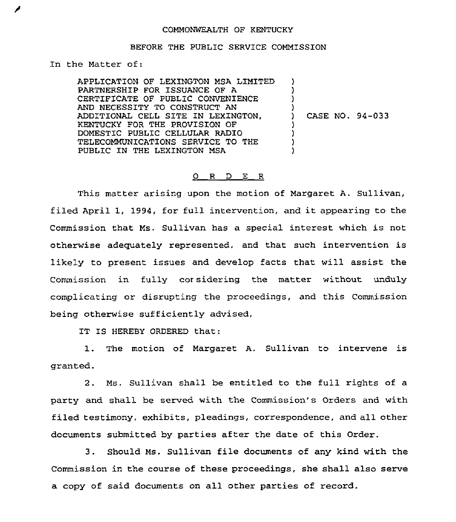## COMMONWEALTH OF KENTUCKY

## BEFORE THE PUBLIC SERVICE COMMISSION

In the Matter of:

APPLICATION OF LEXINGTON MSA LIMITED  $\rightarrow$ PARTNERSHIP FOR ISSUANCE OF A ) CERTIFICATE OF PUBLZC CONVENIENCE  $\lambda$ AND NECESSITY TO CONSTRUCT AN ) ADDITIONAL CELL SITE ZN LEXINGTON, ) CASE NO. 94-033 KENTUCKY FOR THE PROVISION OF ) DOMESTIC PUBLIC CELLULAR RADIO ) TELECOMMUNICATIONS SERVICE TO THE ) PUBLIC IN THE LEXINGTON MSA )

## 0 R <sup>D</sup> E R

This matter arising upon the motion of Margaret A. Sullivan, filed April 1, 1994, for full intervention, and it appearing to the Commission that Ms. Sullivan has a special interest which is not otherwise adequately represented, and that such intervention is likely to present issues and develop facts that will assist the Commission in fully cor sidering the matter without unduly complicating or disrupting the proceedings, and this Commission being otherwise sufficiently advised,

IT IS HEREBY ORDERED that.:

1. The motion of Margaret A. Sullivan to intervene is granted.

2. Ms. Sullivan shall be entitled to the full rights of a party and shall be served with the Commission's Orders and with filed testimony, exhibits, pleadings, correspondence, and all other documents submitted by parties after the date of this Order.

3. Should Ms. Sullivan file documents of any kind with the Commission in the course of these proceedings, she shall also serve a copy of said documents on all other parties of record.